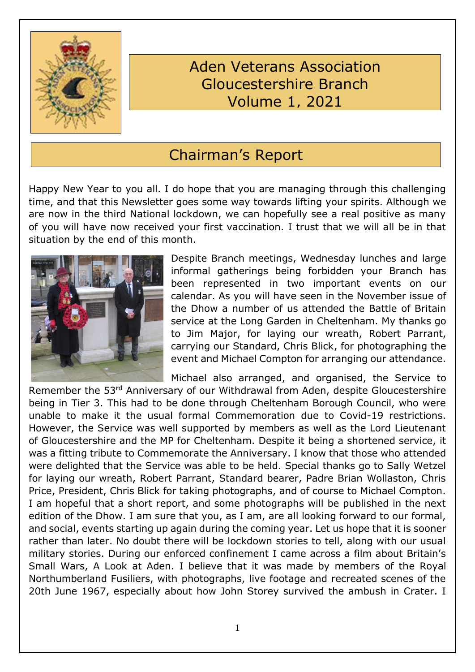

# Aden Veterans Association Gloucestershire Branch Volume 1, 2021

# Chairman's Report

Happy New Year to you all. I do hope that you are managing through this challenging time, and that this Newsletter goes some way towards lifting your spirits. Although we are now in the third National lockdown, we can hopefully see a real positive as many of you will have now received your first vaccination. I trust that we will all be in that situation by the end of this month.



Despite Branch meetings, Wednesday lunches and large informal gatherings being forbidden your Branch has been represented in two important events on our calendar. As you will have seen in the November issue of the Dhow a number of us attended the Battle of Britain service at the Long Garden in Cheltenham. My thanks go to Jim Major, for laying our wreath, Robert Parrant, carrying our Standard, Chris Blick, for photographing the event and Michael Compton for arranging our attendance.

Michael also arranged, and organised, the Service to Remember the 53rd Anniversary of our Withdrawal from Aden, despite Gloucestershire being in Tier 3. This had to be done through Cheltenham Borough Council, who were unable to make it the usual formal Commemoration due to Covid-19 restrictions. However, the Service was well supported by members as well as the Lord Lieutenant of Gloucestershire and the MP for Cheltenham. Despite it being a shortened service, it was a fitting tribute to Commemorate the Anniversary. I know that those who attended were delighted that the Service was able to be held. Special thanks go to Sally Wetzel for laying our wreath, Robert Parrant, Standard bearer, Padre Brian Wollaston, Chris Price, President, Chris Blick for taking photographs, and of course to Michael Compton. I am hopeful that a short report, and some photographs will be published in the next edition of the Dhow. I am sure that you, as I am, are all looking forward to our formal, and social, events starting up again during the coming year. Let us hope that it is sooner rather than later. No doubt there will be lockdown stories to tell, along with our usual military stories. During our enforced confinement I came across a film about Britain's Small Wars, A Look at Aden. I believe that it was made by members of the Royal Northumberland Fusiliers, with photographs, live footage and recreated scenes of the 20th June 1967, especially about how John Storey survived the ambush in Crater. I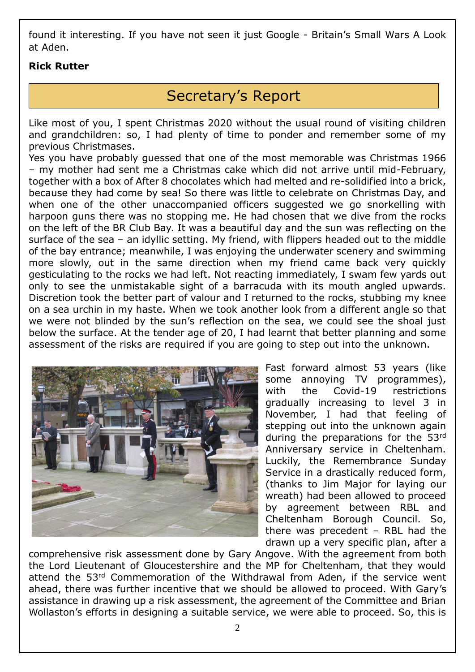found it interesting. If you have not seen it just Google - Britain's Small Wars A Look at Aden.

#### **Rick Rutter**

# Secretary's Report

Like most of you, I spent Christmas 2020 without the usual round of visiting children and grandchildren: so, I had plenty of time to ponder and remember some of my previous Christmases.

Yes you have probably guessed that one of the most memorable was Christmas 1966 – my mother had sent me a Christmas cake which did not arrive until mid-February, together with a box of After 8 chocolates which had melted and re-solidified into a brick, because they had come by sea! So there was little to celebrate on Christmas Day, and when one of the other unaccompanied officers suggested we go snorkelling with harpoon guns there was no stopping me. He had chosen that we dive from the rocks on the left of the BR Club Bay. It was a beautiful day and the sun was reflecting on the surface of the sea – an idyllic setting. My friend, with flippers headed out to the middle of the bay entrance; meanwhile, I was enjoying the underwater scenery and swimming more slowly, out in the same direction when my friend came back very quickly gesticulating to the rocks we had left. Not reacting immediately, I swam few yards out only to see the unmistakable sight of a barracuda with its mouth angled upwards. Discretion took the better part of valour and I returned to the rocks, stubbing my knee on a sea urchin in my haste. When we took another look from a different angle so that we were not blinded by the sun's reflection on the sea, we could see the shoal just below the surface. At the tender age of 20, I had learnt that better planning and some assessment of the risks are required if you are going to step out into the unknown.



Fast forward almost 53 years (like some annoying TV programmes), with the Covid-19 restrictions gradually increasing to level 3 in November, I had that feeling of stepping out into the unknown again during the preparations for the 53rd Anniversary service in Cheltenham. Luckily, the Remembrance Sunday Service in a drastically reduced form, (thanks to Jim Major for laying our wreath) had been allowed to proceed by agreement between RBL and Cheltenham Borough Council. So, there was precedent – RBL had the drawn up a very specific plan, after a

comprehensive risk assessment done by Gary Angove. With the agreement from both the Lord Lieutenant of Gloucestershire and the MP for Cheltenham, that they would attend the 53rd Commemoration of the Withdrawal from Aden, if the service went ahead, there was further incentive that we should be allowed to proceed. With Gary's assistance in drawing up a risk assessment, the agreement of the Committee and Brian Wollaston's efforts in designing a suitable service, we were able to proceed. So, this is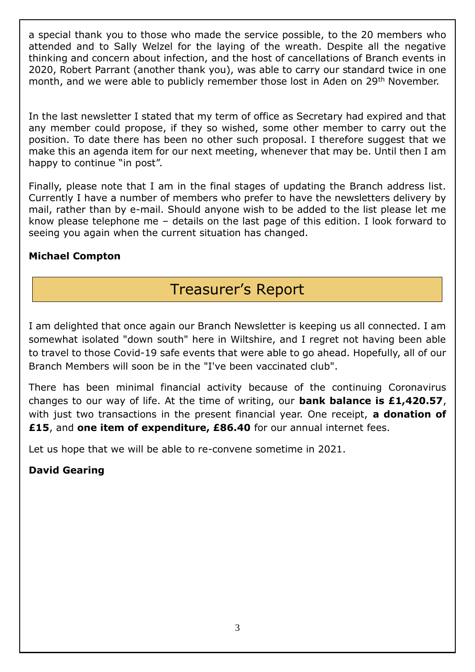a special thank you to those who made the service possible, to the 20 members who attended and to Sally Welzel for the laying of the wreath. Despite all the negative thinking and concern about infection, and the host of cancellations of Branch events in 2020, Robert Parrant (another thank you), was able to carry our standard twice in one month, and we were able to publicly remember those lost in Aden on 29<sup>th</sup> November.

In the last newsletter I stated that my term of office as Secretary had expired and that any member could propose, if they so wished, some other member to carry out the position. To date there has been no other such proposal. I therefore suggest that we make this an agenda item for our next meeting, whenever that may be. Until then I am happy to continue "in post".

Finally, please note that I am in the final stages of updating the Branch address list. Currently I have a number of members who prefer to have the newsletters delivery by mail, rather than by e-mail. Should anyone wish to be added to the list please let me know please telephone me – details on the last page of this edition. I look forward to seeing you again when the current situation has changed.

#### **Michael Compton**

# Treasurer's Report

I am delighted that once again our Branch Newsletter is keeping us all connected. I am somewhat isolated "down south" here in Wiltshire, and I regret not having been able to travel to those Covid-19 safe events that were able to go ahead. Hopefully, all of our Branch Members will soon be in the "I've been vaccinated club".

There has been minimal financial activity because of the continuing Coronavirus changes to our way of life. At the time of writing, our **bank balance is £1,420.57**, with just two transactions in the present financial year. One receipt, **a donation of £15**, and **one item of expenditure, £86.40** for our annual internet fees.

Let us hope that we will be able to re-convene sometime in 2021.

## **David Gearing**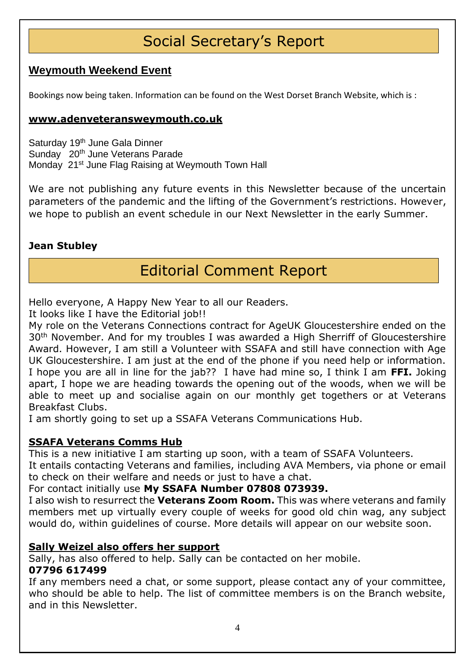# Social Secretary's Report

## **Weymouth Weekend Event**

Bookings now being taken. Information can be found on the West Dorset Branch Website, which is :

#### **[www.adenveteransweymouth.co.uk](http://www.adenveteransweymouth.co.uk/)**

Saturday 19<sup>th</sup> June Gala Dinner Sunday 20<sup>th</sup> June Veterans Parade Monday 21<sup>st</sup> June Flag Raising at Weymouth Town Hall

We are not publishing any future events in this Newsletter because of the uncertain parameters of the pandemic and the lifting of the Government's restrictions. However, we hope to publish an event schedule in our Next Newsletter in the early Summer.

#### **Jean Stubley**

# Editorial Comment Report

Hello everyone, A Happy New Year to all our Readers.

It looks like I have the Editorial job!!

My role on the Veterans Connections contract for AgeUK Gloucestershire ended on the 30th November. And for my troubles I was awarded a High Sherriff of Gloucestershire Award. However, I am still a Volunteer with SSAFA and still have connection with Age UK Gloucestershire. I am just at the end of the phone if you need help or information. I hope you are all in line for the jab?? I have had mine so, I think I am **FFI.** Joking apart, I hope we are heading towards the opening out of the woods, when we will be able to meet up and socialise again on our monthly get togethers or at Veterans Breakfast Clubs.

I am shortly going to set up a SSAFA Veterans Communications Hub.

#### **SSAFA Veterans Comms Hub**

This is a new initiative I am starting up soon, with a team of SSAFA Volunteers.

It entails contacting Veterans and families, including AVA Members, via phone or email to check on their welfare and needs or just to have a chat.

For contact initially use **My SSAFA Number 07808 073939.**

I also wish to resurrect the **Veterans Zoom Room.** This was where veterans and family members met up virtually every couple of weeks for good old chin wag, any subject would do, within guidelines of course. More details will appear on our website soon.

#### **Sally Weizel also offers her support**

Sally, has also offered to help. Sally can be contacted on her mobile.

#### **07796 617499**

If any members need a chat, or some support, please contact any of your committee, who should be able to help. The list of committee members is on the Branch website, and in this Newsletter.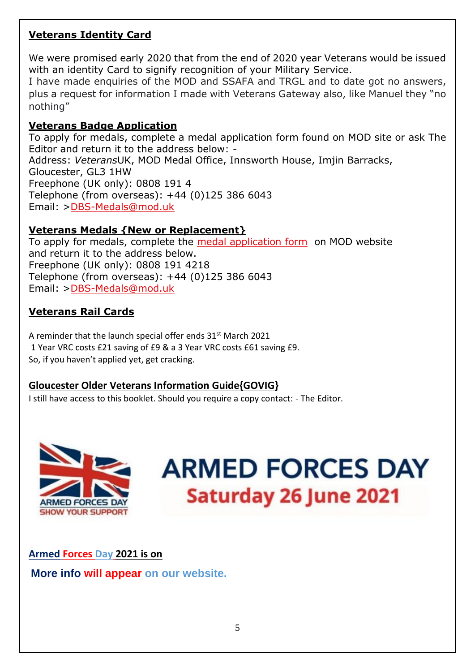## **Veterans Identity Card**

We were promised early 2020 that from the end of 2020 year Veterans would be issued with an identity Card to signify recognition of your Military Service.

I have made enquiries of the MOD and SSAFA and TRGL and to date got no answers, plus a request for information I made with Veterans Gateway also, like Manuel they "no nothing"

#### **Veterans Badge Application**

To apply for medals, complete a medal application form found on MOD site or ask The Editor and return it to the address below: - Address: *Veterans*UK, MOD Medal Office, Innsworth House, Imjin Barracks, Gloucester, GL3 1HW Freephone (UK only): 0808 191 4 Telephone (from overseas): +44 (0)125 386 6043 Email: [>DBS-Medals@mod.uk](mailto:DBS-Medals@mod.uk)

## **Veterans Medals {New or Replacement}**

To apply for medals, complete the [medal application form](https://www.gov.uk/government/publications/applying-for-medals) on MOD website and return it to the address below. Freephone (UK only): 0808 191 4218 Telephone (from overseas): +44 (0)125 386 6043 Email: [>DBS-Medals@mod.uk](mailto:DBS-Medals@mod.uk)

## **Veterans Rail Cards**

A reminder that the launch special offer ends 31<sup>st</sup> March 2021 1 Year VRC costs £21 saving of £9 & a 3 Year VRC costs £61 saving £9. So, if you haven't applied yet, get cracking.

## **Gloucester Older Veterans Information Guide{GOVIG}**

I still have access to this booklet. Should you require a copy contact: - The Editor.



# **ARMED FORCES DAY Saturday 26 June 2021**

**Armed Forces Day 2021 is on** 

**More info will appear on our website.**